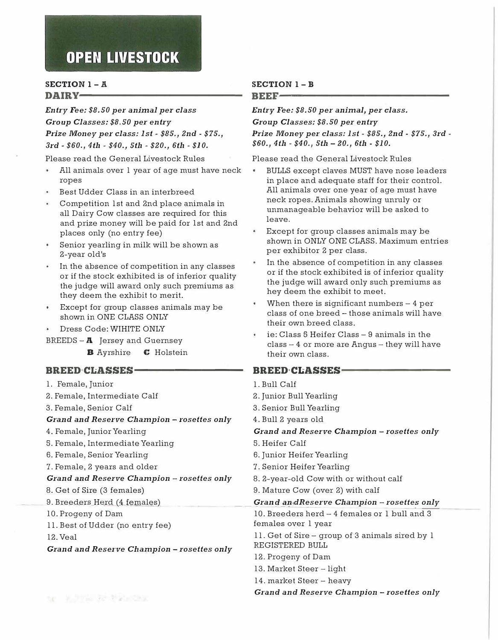### **SECTION 1-A**  DAIRY-

*Entry Fee: \$8.50 per animal per class Group Classes: \$8.50 per entry Prize Money per class: 1st* - *\$85., 2nd* - *\$15., 3rd* - *\$60., 4th* - *\$40., 5th* - *\$20., 6th* - *\$10.* 

Please read the General Livestock Rules

- All animals over 1 year of age must have neck ropes
- Best Udder Class in an interbreed
- Competition 1st and 2nd place animals in all Dairy Cow classes are required for this and prize money will be paid for 1st and 2nd places only (no entry fee)
- Senior yearling in milk will be shown as 2-year old's
- In the absence of competition in any classes or if the stock exhibited is of inferior quality the judge will award only such premiums as they deem the exhibit to merit.
- Except for group classes animals may be shown in ONE CLASS ONLY
- Dress Code: WIHITE ONLY
- BREEDS  $-$  **A** Jersey and Guernsey
	- **B** Ayrshire **C** Holstein

### **BREED CLASSES-**

1. Female, Junior 2. Female, Intermediate Calf 3. Female, Senior Calf *Grand and Resei·ve Champion - i·osettes only*  4. Female, Junior Yearling 5. Female, Intermediate Yearling 6. Female, Senior Yearling 7. Female, 2 years and older *Grand and Reserve Champion - rosettes only*  8. Get of Sire (3 females) 1. Bull Calf 2. Junior Bull Yearling 3. Senior Bull Yearling 4. Bull 2 years old *Grand and Reserve Champion - rosettes only*  5. Heifer Calf 6. Junior Heifer Yearling 7. Senior Heifer Yearling 8. 2-year-old Cow with or without calf 9. Mature Cow (over 2) with calf 9. Breeders Herd (4 females) 10. Progeny of Dam 11. Best of Udder (no entry fee) *Grand an.dReserve Champion - rosettes only* 10. Breeders herd - 4 females or 1 bull and 3 females over 1 year 12. Veal Grand and Reserve Champion - rosettes only 11. Get of Sire - group of 3 animals sired by 1 REGISTERED BULL 12. Progeny of Dam 13. Market Steer - light 14. market Steer - heavy *Gi·and and Reserve Champion* - *rosettes only* 

### **SECTION 1- B**

### **BEEF----------------------------**

*Entry Fee: \$8.50 per animal, per class.* 

*Group Classes: \$8.50 per entry* 

*Prize Money per class: 1st - \$85., 2nd - \$75., 3rd -\$60., 4th - \$40., 5th - 20., 6th - \$10.* 

Please read the General Livestock Rules

- BULLS except claves MUST have nose leaders in place and adequate staff for their control. All animals over one year of age must have neck ropes. Animals showing unruly or unmanageable behavior will be asked to leave.
- Except for group classes animals may be shown in ONLY ONE CLASS. Maximum entries per exhibitor 2 per class.
- In the absence of competition in any classes or if the stock exhibited is of inferior quality the judge will award only such premiums as hey deem the exhibit to meet.
- When there is significant numbers  $-4$  per class of one breed - those animals will have their own breed class.
- ie: Class 5 Heifer Class 9 animals in the  $class - 4$  or more are  $Angus - they$  will have their own class.

### **BREED CLASSES-**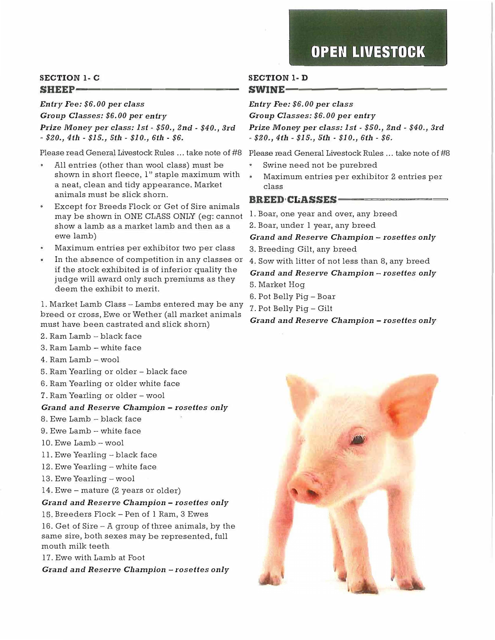### **SECTION 1- <sup>C</sup>** SHEEP-

*Entry Fee: \$6.00 per class* 

*Group Classes: \$6. 00 per entry Prize Money per class: 1st - \$50., 2nd - \$40., 3rd - \$20., 4th - \$15., 5th - \$10., 6th - \$6.*

- All entries (other than wool class) must be shown in short fleece, l" staple maximum with a neat, clean and tidy appearance. Market animals must be slick shorn.
- Except for Breeds Flock or Get of Sire animals may be shown in ONE CLASS ONLY ( eg: cannot show a lamb as a market lamb and then as a ewe lamb)
- Maximum entries per exhibitor two per class
- In the absence of competition in any classes or if the stock exhibited is of inferior quality the judge will award only such premiums as they deem the exhibit to merit.

1. Market Lamb Class - Lambs entered may be any breed or cross, Ewe or Wether (all market animals must have been castrated and slick shorn)

- 2. Ram Lamb black face
- 3. Ram Lamb white face
- 4. Ram Lamb wool
- 5. Ram Yearling or older black face
- 6. Ram Yearling or older white face
- 7. Ram Yearling or older wool

### *Grand and Reserve Cliampion* - *rosettes only*

- 8. Ewe Lamb black face
- 9. Ewe Lamb white face
- 10. Ewe Lamb -wool
- 11. Ewe Yearling black face
- 12. Ewe Yearling white face
- 13. Ewe Yearling wool
- 14. Ewe mature (2 years or older)

### *Grand and Reserve Champion* - *rosettes only*

15. Breeders Flock - Pen of 1 Ram, 3 Ewes

16. Get of Sire  $-$  A group of three animals, by the same sire, both sexes may be represented, full mouth milk teeth

17. Ewe with Lamb at Foot

*Grand and Reserve Cliampion* - *rosettes only* 

### **SECTION 1- D**  SWINE-

*Entry Fee: \$6. 00 per class* 

*Group Classes: \$6.00 per entry Prize Money per class: 1st* - *\$50., 2nd* - *\$40., 3rd*  - *\$20., 4th* - *\$15., 5th* - *\$10., 6th* - *\$6.*

Please read General Livestock Rules ... take note of #8 Please read General Livestock Rules ... take note of #8

- Swine need not be purebred
- Maximum entries per exhibitor 2 entries per class

### **BREED CLASSES-**

1. Boar, one year and over, any breed

2. Boar, under 1 year, any breed

### *Grand and Reserve Champion* - *rosettes only*

3. Breeding Gilt, any breed

4. Sow with litter of not less than 8, any breed

*Grand and Reserve Champion* - *rosettes only*  5. Market Hog

- 6. Pot Belly Pig Boar
- 7. Pot Belly Pig Gilt

*Grand a11d Reserve Champion* - *rosettes only* 

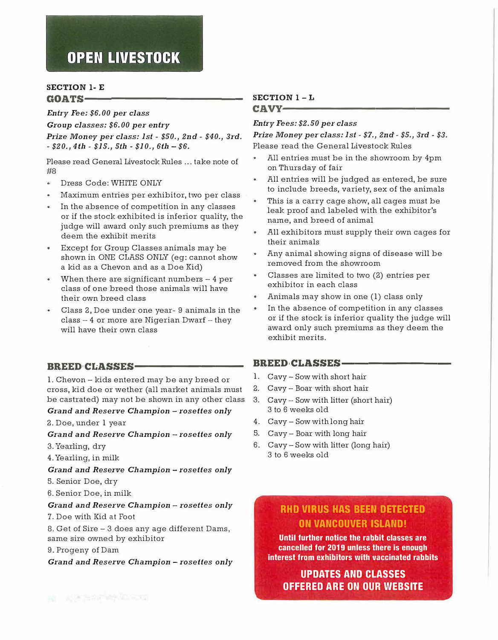### **SECTION 1- E**   $$

*Entry Fee: \$6.00 per class* 

*Group classes: \$6.00 per entry* 

*Prize Money per class: 1st* - *\$50., 2nd* - *\$40., 3rd.*  - *\$20., 4th* - *\$15., 5th* - *\$10., 6th* - *\$6.*

Please read General Livestock Rules ... take note of  $H<sub>R</sub>$ 

- Dress Code: WHITE ONLY
- Maximum entries per exhibitor, two per class
- In the absence of competition in any classes or if the stock exhibited is inferior quality, the judge will award only such premiums as they deem the exhibit merits
- Except for Group Classes animals may be shown in ONE CLASS ONLY (eg: cannot show a kid as a Chevon and as a Doe Kid)
- When there are significant numbers  $-4$  per  $\bullet$ class of one breed those animals will have their own breed class
- Class 2, Doe under one year- 9 animals in the  $class - 4$  or more are Nigerian Dwarf  $-$  they will have their own class

### BREED CLASSES-

1. Chevon - kids entered may be any breed or cross, kid doe or wether (all market animals must be castrated) may not be shown in any other class

### *Gi-and and Reserve Champion* - *rosettes only*

2. Doe, under 1 year

### *Grand and Reserve Champion* - *rosettes only*

3.Yearling, dry

4. Yearling, in milk

*Grnnd and Reserve Champion* - *rosettes only*

- 5. Senior Doe, dry
- 6. Senior Doe, in milk

### *Grand* and *Reserve Champion* - *rosettes only*

7. Doe with Kid at Foot

8. Get of Sire - 3 does any age different Dams, same sire owned by exhibitor

9. Progeny of Dam

*Grand and Rese1·ve Cliampion* - *rosettes only*

# **SECTION 1-L**

### **CAVY·-------------------------**

### *Entry Fees: \$2.50 per class*

*Prize Money per class: 1st* - *\$7., 2nd* - *\$5., 3rd* - *\$3.*  Please read the General Livestock Rules

- All entries must be in the showroom by 4pm on Thursday of fair
- All entries will be judged as entered, be sure to include breeds, variety, sex of the animals
- This is a carry cage show, all cages must be leak proof and labeled with the exhibitor's name, and breed of animal
- All exhibitors must supply their own cages for their animals
- Any animal showing signs of disease will be o. removed from the showroom
- Classes are limited to two (2) entries per exhibitor in each class
- Animals may show in one (1) class only  $\bullet$
- In the absence of competition in any classes  $\bullet$ or if the stock is inferior quality the judge will award only such premiums as they deem the exhibit merits.

### BREED CLASSES-

- 1. Cavy- Sow with short hair
- 2. Cavy- Boar with short hair
- 3. Cavy- Sow with litter (short hair) 3 to 6 weeks old
- 4. Cavy- Sow with long hair
- 5. Cavy- Boar with long hair
- 6. Cavy- Sow with litter (long hair) 3 to 6 weeks old

### **RHO VIRUS HAS BEEN DETECTED ON VANCOUVER ISLAND!**

**Until further notice the rabbit classes are cancelled for 2019 unless there is enough interest from exhibitors with vaccinated rabbits** 

**UPDATES AND CLASSES OFFERED ARE ON OUR WEBSITE**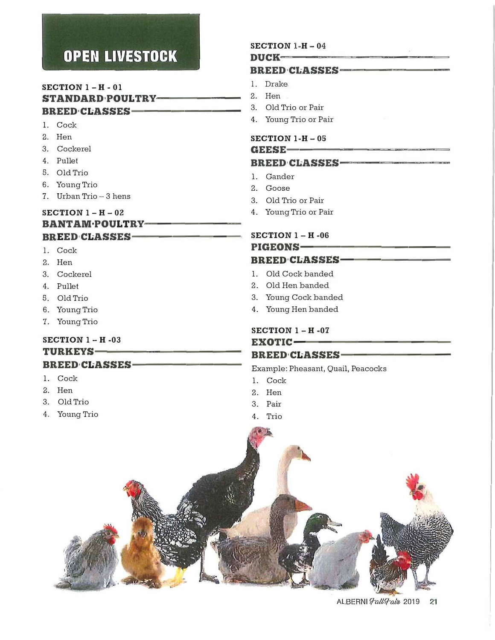### **SECTION 1 - H - <sup>01</sup>** STANDARD<sub>POULTRY</sub>-BREED•CLASSES-

- 1. Cock
- 2. Hen
- 3. Cockerel
- 4. Pullet
- 5. Old Trio
- 6. Young Trio
- 7. Urban Trio 3 hens

### **SECTION 1 - <sup>H</sup>**- **<sup>02</sup>**

### BANTAM·POULTRY-BREED CLASSES-

- 1. Cock
- 2. Hen
- 3. Cockerel
- 4. Pullet
- 5. Old Trio
- 6. Young Trio
- 7. Young Trio

### **SECTION 1 - H -03**

### TURKEYS-

### BREED<sub>'</sub>CLASSES-

- 1. Cock
- 2. Hen
- 3. Old Trio
- 4. Young Trio

### **SECTION 1-H** - **04**  $DUCK$ ---

### BREED CLASSES-

- l. Drake
- 2. Hen
- 3. Old Trio or Pair
- 4. Young Trio or Pair

### **SECTION 1-H** - **05**

#### GEESE-

### BREED CLASSES-

- 1. Gander
- 2. Goose
- 3. Old Trio or Pair
- 4. Young Trio or Pair

### **SECTION 1 - H -06**

# PIGEONS-

### BREED CLASSES-

- 1. Old Cock banded
- 2. Old Hen banded
- 3. Young Cock banded
- 4. Young Hen banded

### **SECTION 1 - H -07**

### EXOTIC-BREED CLASSES-

Example: Pheasant, Quail, Peacocks

- 1. Cock
- 2. Hen
- 3. Pair
- 4. Trio